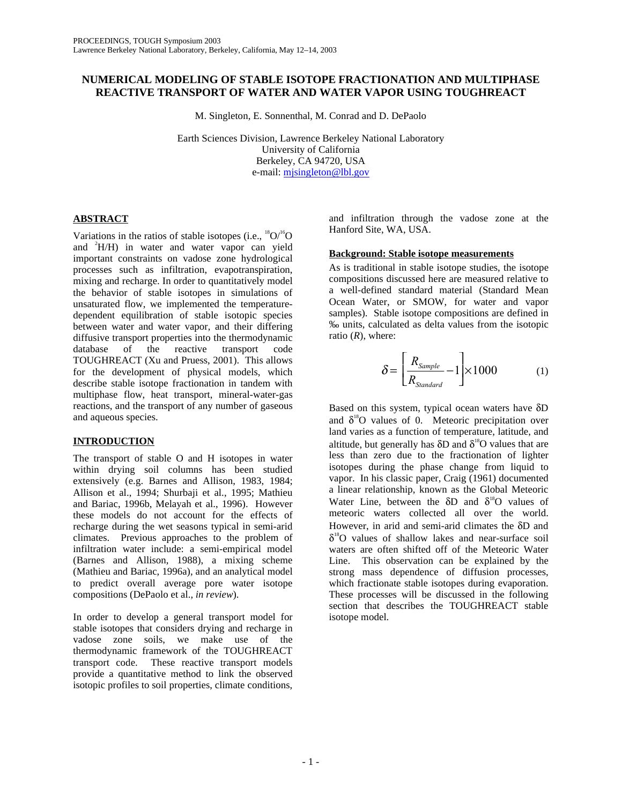# **NUMERICAL MODELING OF STABLE ISOTOPE FRACTIONATION AND MULTIPHASE REACTIVE TRANSPORT OF WATER AND WATER VAPOR USING TOUGHREACT**

M. Singleton, E. Sonnenthal, M. Conrad and D. DePaolo

Earth Sciences Division, Lawrence Berkeley National Laboratory University of California Berkeley, CA 94720, USA e-mail: mjsingleton@lbl.gov

## **ABSTRACT**

Variations in the ratios of stable isotopes (i.e.,  ${}^{18}O/{}^{16}O$ and <sup>2</sup>H/H) in water and water vapor can yield important constraints on vadose zone hydrological processes such as infiltration, evapotranspiration, mixing and recharge. In order to quantitatively model the behavior of stable isotopes in simulations of unsaturated flow, we implemented the temperaturedependent equilibration of stable isotopic species between water and water vapor, and their differing diffusive transport properties into the thermodynamic<br>database of the reactive transport code database of the reactive transport TOUGHREACT (Xu and Pruess, 2001). This allows for the development of physical models, which describe stable isotope fractionation in tandem with multiphase flow, heat transport, mineral-water-gas reactions, and the transport of any number of gaseous and aqueous species.

# **INTRODUCTION**

The transport of stable O and H isotopes in water within drying soil columns has been studied extensively (e.g. Barnes and Allison, 1983, 1984; Allison et al., 1994; Shurbaji et al., 1995; Mathieu and Bariac, 1996b, Melayah et al., 1996). However these models do not account for the effects of recharge during the wet seasons typical in semi-arid climates. Previous approaches to the problem of infiltration water include: a semi-empirical model (Barnes and Allison, 1988), a mixing scheme (Mathieu and Bariac, 1996a), and an analytical model to predict overall average pore water isotope compositions (DePaolo et al., *in review*).

In order to develop a general transport model for stable isotopes that considers drying and recharge in vadose zone soils, we make use of the thermodynamic framework of the TOUGHREACT transport code. These reactive transport models provide a quantitative method to link the observed isotopic profiles to soil properties, climate conditions,

and infiltration through the vadose zone at the Hanford Site, WA, USA.

## **Background: Stable isotope measurements**

As is traditional in stable isotope studies, the isotope compositions discussed here are measured relative to a well-defined standard material (Standard Mean Ocean Water, or SMOW, for water and vapor samples). Stable isotope compositions are defined in ‰ units, calculated as delta values from the isotopic ratio (*R*), where:

$$
\delta = \left[\frac{R_{Sample}}{R_{Standard}} - 1\right] \times 1000 \tag{1}
$$

Based on this system, typical ocean waters have δD and  $\delta^{18}$ O values of 0. Meteoric precipitation over land varies as a function of temperature, latitude, and altitude, but generally has  $\delta D$  and  $\delta^{18}O$  values that are less than zero due to the fractionation of lighter isotopes during the phase change from liquid to vapor. In his classic paper, Craig (1961) documented a linear relationship, known as the Global Meteoric Water Line, between the  $\delta D$  and  $\delta^{18}O$  values of meteoric waters collected all over the world However, in arid and semi-arid climates the δD and  $\delta^{18}$ O values of shallow lakes and near-surface soil waters are often shifted off of the Meteoric Water Line. This observation can be explained by the strong mass dependence of diffusion processes, which fractionate stable isotopes during evaporation. These processes will be discussed in the following section that describes the TOUGHREACT stable isotope model.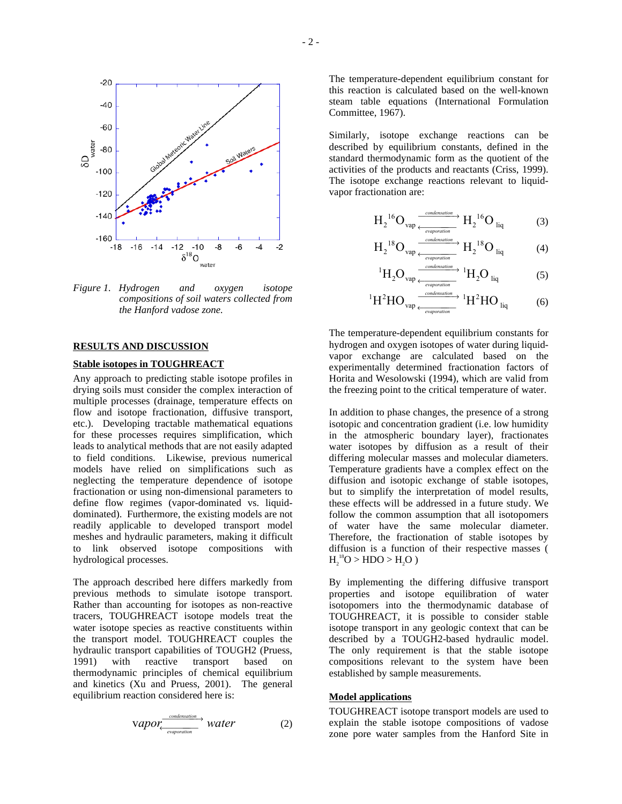

*Figure 1. Hydrogen and oxygen isotope compositions of soil waters collected from the Hanford vadose zone.* 

## **RESULTS AND DISCUSSION**

### **Stable isotopes in TOUGHREACT**

Any approach to predicting stable isotope profiles in drying soils must consider the complex interaction of multiple processes (drainage, temperature effects on flow and isotope fractionation, diffusive transport, etc.). Developing tractable mathematical equations for these processes requires simplification, which leads to analytical methods that are not easily adapted to field conditions. Likewise, previous numerical models have relied on simplifications such as neglecting the temperature dependence of isotope fractionation or using non-dimensional parameters to define flow regimes (vapor-dominated vs. liquiddominated). Furthermore, the existing models are not readily applicable to developed transport model meshes and hydraulic parameters, making it difficult to link observed isotope compositions with hydrological processes.

The approach described here differs markedly from previous methods to simulate isotope transport. Rather than accounting for isotopes as non-reactive tracers, TOUGHREACT isotope models treat the water isotope species as reactive constituents within the transport model. TOUGHREACT couples the hydraulic transport capabilities of TOUGH2 (Pruess, 1991) with reactive transport based on thermodynamic principles of chemical equilibrium and kinetics (Xu and Pruess, 2001). The general equilibrium reaction considered here is:

$$
Vapor \xleftarrow{conclassification} water \qquad (2)
$$

The temperature-dependent equilibrium constant for this reaction is calculated based on the well-known steam table equations (International Formulation Committee, 1967).

Similarly, isotope exchange reactions can be described by equilibrium constants, defined in the standard thermodynamic form as the quotient of the activities of the products and reactants (Criss, 1999). The isotope exchange reactions relevant to liquidvapor fractionation are:

$$
H_2^{16}O_{vap} \xrightarrow{conclusion \atop \text{evaporation}} H_2^{16}O_{liq} \tag{3}
$$

$$
H_2^{18}O_{vap} \xrightarrow{conclusion \atop \text{evaporation}} H_2^{18}O_{liq} \tag{4}
$$

$$
{}^{1}H_{2}O_{vap} \xrightarrow{\frac{condensation}{\longleftarrow} {}^{1}H_{2}O_{liq}} \qquad (5)
$$

$$
{}^{1}H^{2}HO_{vap} \xleftarrow[\text{evaporation}]{\text{condensation}} {}^{1}H^{2}HO_{liq}
$$
 (6)

The temperature-dependent equilibrium constants for hydrogen and oxygen isotopes of water during liquidvapor exchange are calculated based on the experimentally determined fractionation factors of Horita and Wesolowski (1994), which are valid from the freezing point to the critical temperature of water.

In addition to phase changes, the presence of a strong isotopic and concentration gradient (i.e. low humidity in the atmospheric boundary layer), fractionates water isotopes by diffusion as a result of their differing molecular masses and molecular diameters. Temperature gradients have a complex effect on the diffusion and isotopic exchange of stable isotopes, but to simplify the interpretation of model results, these effects will be addressed in a future study. We follow the common assumption that all isotopomers of water have the same molecular diameter. Therefore, the fractionation of stable isotopes by diffusion is a function of their respective masses (  $H_2^{18}O > HDO > H_2O$ )

By implementing the differing diffusive transport properties and isotope equilibration of water isotopomers into the thermodynamic database of TOUGHREACT, it is possible to consider stable isotope transport in any geologic context that can be described by a TOUGH2-based hydraulic model. The only requirement is that the stable isotope compositions relevant to the system have been established by sample measurements.

# **Model applications**

TOUGHREACT isotope transport models are used to explain the stable isotope compositions of vadose zone pore water samples from the Hanford Site in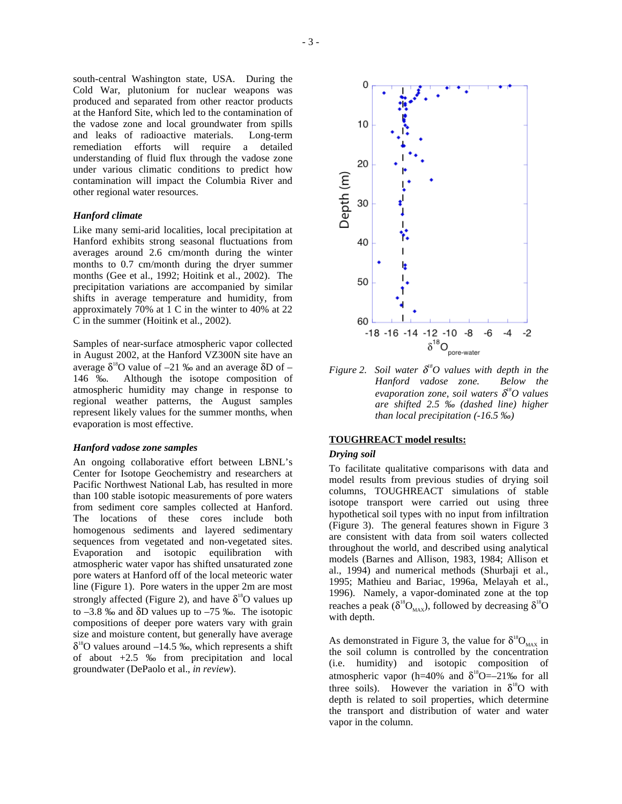south-central Washington state, USA. During the Cold War, plutonium for nuclear weapons was produced and separated from other reactor products at the Hanford Site, which led to the contamination of the vadose zone and local groundwater from spills and leaks of radioactive materials. Long-term remediation efforts will require a detailed understanding of fluid flux through the vadose zone under various climatic conditions to predict how contamination will impact the Columbia River and other regional water resources.

#### *Hanford climate*

Like many semi-arid localities, local precipitation at Hanford exhibits strong seasonal fluctuations from averages around 2.6 cm/month during the winter months to 0.7 cm/month during the dryer summer months (Gee et al., 1992; Hoitink et al., 2002). The precipitation variations are accompanied by similar shifts in average temperature and humidity, from approximately 70% at 1 C in the winter to 40% at 22 C in the summer (Hoitink et al., 2002).

Samples of near-surface atmospheric vapor collected in August 2002, at the Hanford VZ300N site have an average  $\delta^{18}O$  value of –21 ‰ and an average  $\delta D$  of – 146 ‰. Although the isotope composition of atmospheric humidity may change in response to regional weather patterns, the August samples represent likely values for the summer months, when evaporation is most effective.

#### *Hanford vadose zone samples*

An ongoing collaborative effort between LBNL's Center for Isotope Geochemistry and researchers at Pacific Northwest National Lab, has resulted in more than 100 stable isotopic measurements of pore waters from sediment core samples collected at Hanford. The locations of these cores include both homogenous sediments and layered sedimentary sequences from vegetated and non-vegetated sites.<br>Evaporation and isotopic equilibration with Evaporation and isotopic equilibration with atmospheric water vapor has shifted unsaturated zone pore waters at Hanford off of the local meteoric water line (Figure 1). Pore waters in the upper 2m are most strongly affected (Figure 2), and have  $\delta^{18}O$  values up to –3.8 ‰ and δD values up to –75 ‰. The isotopic compositions of deeper pore waters vary with grain size and moisture content, but generally have average  $\delta^{18}$ O values around -14.5 ‰, which represents a shift of about +2.5 ‰ from precipitation and local groundwater (DePaolo et al., *in review*).



*Figure 2.* Soil water  $\delta^8O$  values with depth in the *Hanford vadose zone. Below the evaporation zone, soil waters* δ *18O values are shifted 2.5 ‰ (dashed line) higher than local precipitation (-16.5 ‰)* 

#### **TOUGHREACT model results:**

#### *Drying soil*

To facilitate qualitative comparisons with data and model results from previous studies of drying soil columns, TOUGHREACT simulations of stable isotope transport were carried out using three hypothetical soil types with no input from infiltration (Figure 3). The general features shown in Figure 3 are consistent with data from soil waters collected throughout the world, and described using analytical models (Barnes and Allison, 1983, 1984; Allison et al., 1994) and numerical methods (Shurbaji et al., 1995; Mathieu and Bariac, 1996a, Melayah et al., 1996). Namely, a vapor-dominated zone at the top reaches a peak ( $\delta^{18}O_{MAX}$ ), followed by decreasing  $\delta^{18}O$ with depth.

As demonstrated in Figure 3, the value for  $\delta^{18}O_{MAX}$  in the soil column is controlled by the concentration (i.e. humidity) and isotopic composition of atmospheric vapor (h=40% and  $\delta^{18}O = -21\%$  for all three soils). However the variation in  $\delta^{18}O$  with depth is related to soil properties, which determine the transport and distribution of water and water vapor in the column.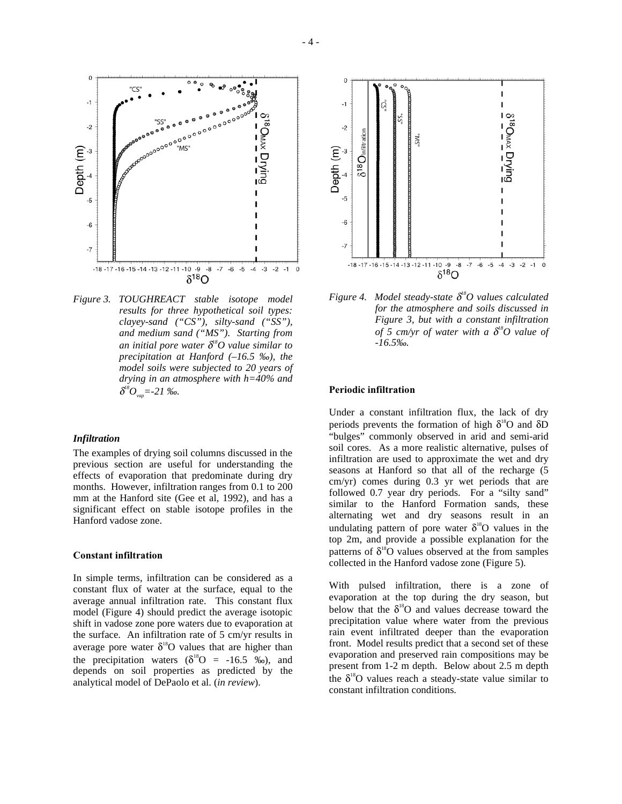

*Figure 3. TOUGHREACT stable isotope model results for three hypothetical soil types: clayey-sand ("CS"), silty-sand ("SS"), and medium sand ("MS"). Starting from an initial pore water* δ *18O value similar to precipitation at Hanford (–16.5 ‰), the model soils were subjected to 20 years of drying in an atmosphere with h=40% and*   $\delta^{^{8}}O_{\rm{vap}}$ =-21 ‰.

### *Infiltration*

The examples of drying soil columns discussed in the previous section are useful for understanding the effects of evaporation that predominate during dry months. However, infiltration ranges from 0.1 to 200 mm at the Hanford site (Gee et al, 1992), and has a significant effect on stable isotope profiles in the Hanford vadose zone.

#### **Constant infiltration**

In simple terms, infiltration can be considered as a constant flux of water at the surface, equal to the average annual infiltration rate. This constant flux model (Figure 4) should predict the average isotopic shift in vadose zone pore waters due to evaporation at the surface. An infiltration rate of 5 cm/yr results in average pore water  $\delta^{18}O$  values that are higher than the precipitation waters  $(\delta^{18}O = -16.5 \text{ %})$ , and depends on soil properties as predicted by the analytical model of DePaolo et al. (*in review*).



*Figure 4. Model steady-state* δ *18O values calculated for the atmosphere and soils discussed in Figure 3, but with a constant infiltration of 5 cm/yr of water with a* δ *18O value of -16.5‰.* 

#### **Periodic infiltration**

Under a constant infiltration flux, the lack of dry periods prevents the formation of high  $\delta^{18}O$  and  $\delta D$ "bulges" commonly observed in arid and semi-arid soil cores. As a more realistic alternative, pulses of infiltration are used to approximate the wet and dry seasons at Hanford so that all of the recharge (5 cm/yr) comes during 0.3 yr wet periods that are followed 0.7 year dry periods. For a "silty sand" similar to the Hanford Formation sands, these alternating wet and dry seasons result in an undulating pattern of pore water  $\delta^{18}O$  values in the top 2m, and provide a possible explanation for the patterns of  $\delta^{18}O$  values observed at the from samples collected in the Hanford vadose zone (Figure 5).

With pulsed infiltration, there is a zone of evaporation at the top during the dry season, but below that the  $\delta^{18}$ O and values decrease toward the precipitation value where water from the previous rain event infiltrated deeper than the evaporation front. Model results predict that a second set of these evaporation and preserved rain compositions may be present from 1-2 m depth. Below about 2.5 m depth the  $\delta^{18}$ O values reach a steady-state value similar to constant infiltration conditions.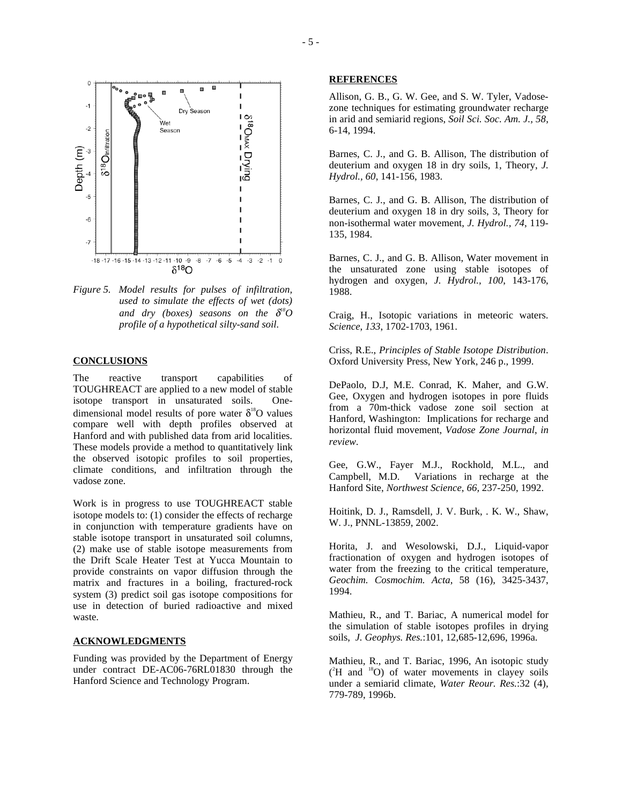



#### **CONCLUSIONS**

The reactive transport capabilities of TOUGHREACT are applied to a new model of stable isotope transport in unsaturated soils. Onedimensional model results of pore water  $\delta^{18}O$  values compare well with depth profiles observed at Hanford and with published data from arid localities. These models provide a method to quantitatively link the observed isotopic profiles to soil properties, climate conditions, and infiltration through the vadose zone.

Work is in progress to use TOUGHREACT stable isotope models to: (1) consider the effects of recharge in conjunction with temperature gradients have on stable isotope transport in unsaturated soil columns, (2) make use of stable isotope measurements from the Drift Scale Heater Test at Yucca Mountain to provide constraints on vapor diffusion through the matrix and fractures in a boiling, fractured-rock system (3) predict soil gas isotope compositions for use in detection of buried radioactive and mixed waste.

### **ACKNOWLEDGMENTS**

Funding was provided by the Department of Energy under contract DE-AC06-76RL01830 through the Hanford Science and Technology Program.

#### **REFERENCES**

Allison, G. B., G. W. Gee, and S. W. Tyler, Vadosezone techniques for estimating groundwater recharge in arid and semiarid regions, *Soil Sci. Soc. Am. J., 58*, 6-14, 1994.

Barnes, C. J., and G. B. Allison, The distribution of deuterium and oxygen 18 in dry soils, 1, Theory, *J. Hydrol., 60*, 141-156, 1983.

Barnes, C. J., and G. B. Allison, The distribution of deuterium and oxygen 18 in dry soils, 3, Theory for non-isothermal water movement, *J. Hydrol., 74*, 119- 135, 1984.

Barnes, C. J., and G. B. Allison, Water movement in the unsaturated zone using stable isotopes of hydrogen and oxygen, *J. Hydrol., 100*, 143-176, 1988.

Craig, H., Isotopic variations in meteoric waters. *Science*, *133*, 1702-1703, 1961.

Criss, R.E., *Principles of Stable Isotope Distribution*. Oxford University Press, New York, 246 p., 1999.

DePaolo, D.J, M.E. Conrad, K. Maher, and G.W. Gee, Oxygen and hydrogen isotopes in pore fluids from a 70m-thick vadose zone soil section at Hanford, Washington: Implications for recharge and horizontal fluid movement, *Vadose Zone Journal*, *in review*.

Gee, G.W., Fayer M.J., Rockhold, M.L., and Campbell, M.D. Variations in recharge at the Hanford Site, *Northwest Science*, *66,* 237-250, 1992.

Hoitink, D. J., Ramsdell, J. V. Burk, . K. W., Shaw, W. J., PNNL-13859, 2002.

Horita, J. and Wesolowski, D.J., Liquid-vapor fractionation of oxygen and hydrogen isotopes of water from the freezing to the critical temperature, *Geochim. Cosmochim. Acta*, 58 (16), 3425-3437, 1994.

Mathieu, R., and T. Bariac, A numerical model for the simulation of stable isotopes profiles in drying soils, *J. Geophys. Res.*:101, 12,685-12,696, 1996a.

Mathieu, R., and T. Bariac, 1996, An isotopic study  $(^{2}H$  and  $^{18}O$ ) of water movements in clayey soils under a semiarid climate, *Water Reour. Res.*:32 (4), 779-789, 1996b.